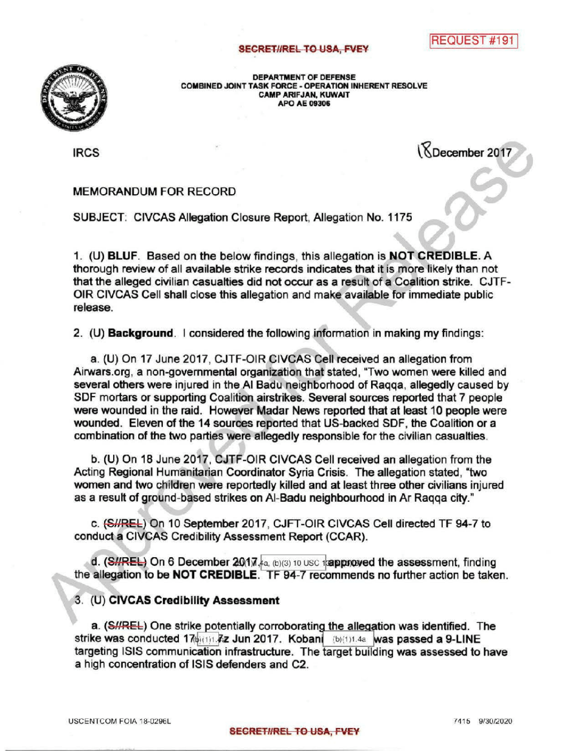## **SECRET//REL TO USA, FVEY**

REQUEST #191



DEPARTMENT OF DEFENSE<br>COMBINED JOINT TASK FORCE - OPERATION II<br>CAMP ARIFJAN, KUWAIT COMBINED JOINT TASK FORCE - OPERATION INHERENT RESOLVE CAMPARIFJAN, KUWAIT APO AE09306

IRCS **IRCS** 18December 2017

## MEMORANDUM FOR RECORD

SUBJECT: CIVCAS Allegation Closure Report, Allegation No. 1175

1. (U) BLUF. Based on the below findings, this allegation is NOT CREDIBLE. A thorough review of all available strike records indicates that it is more likely than not that the alleged civilian casualties did not occur as a result of a Coalition strike. CJTF-OIR CIVCAS Cell shall close this allegation and make available for immediate public release.

2. (U) **Background**. I considered the following information in making my findings:

a. (U) On 17 June 2017, CJTF-OIR CIVCAS Cell received an allegation from Airwars.org, a non-governmental organization that stated, Two women were killed and several others were injured in the AI Badu neighborhood of Raqqa, allegedly caused by SDF mortars or supporting Coalition airstrikes. Several sources reported that 7 people were wounded in the raid. However Madar News reported that at least 10 people were wounded. Eleven of the 14 sources reported that US-backed SDF, the Coalition or a combination of the two parties were allegedly responsible for the civilian casualties.

b. (U) On 18 June 2017, CJTF-OIR CIVCAS Cell received an allegation from the Acting Regional Humanitarian Coordinator Syria Crisis. The allegation stated, "two women and two children were reportedly killed and at least three other civilians injured as a result of ground-based strikes on Al-Badu neighbourhood in Ar Raqqa city."

c. (S//REL) On 10 September 2017, CJFT-OIR CIVCAS Cell directed TF 94-7 to conduct a CIVCAS Credibility Assessment Report (CCAR).

d.  $(SHREE)$  On 6 December 2017,  $A_{a}$ , (b)(3) 10 USC trapproved the assessment, finding the allegation to be NOT CREDIBLE. TF 94-7 recommends no further action be taken.

## 3. (U) CIVCAS Credibility Assessment

a. (SHREL) One strike potentially corroborating the allegation was identified. The strike was conducted 17th 17th 7z Jun 2017. Kobani (b)(1)1.4a was passed a 9-LINE targeting ISIS communication infrastructure. The target building was assessed to have a high concentration of ISIS defenders and C2.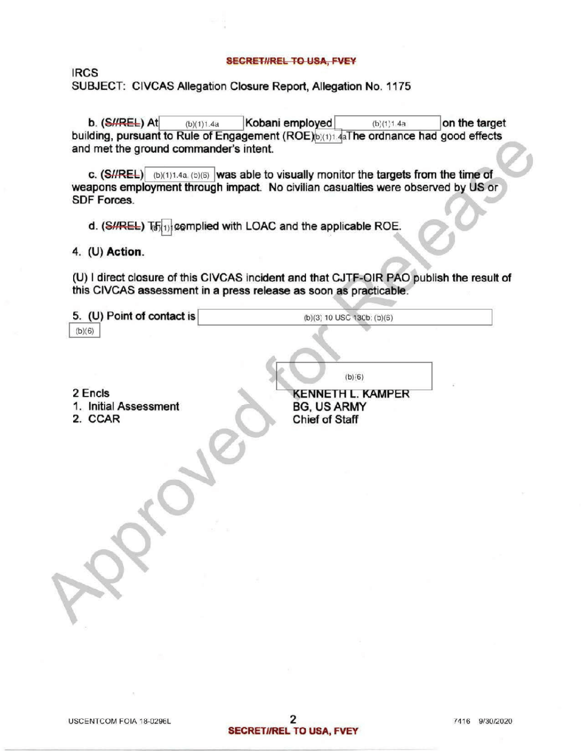## SECRET//REL TO USA, FVEY

IRCS SUBJECT: CIVCAS Allegation Closure Report, Allegation No. 1175

**b.**  $(SHREE)$  At  $(b)(1)1.4a$  Kobani employed  $(b)(1)1.4a$  on the target building, pursuant to Rule of Engagement (ROE) (1)1.4aThe ordnance had good effects and met the ground commander's intent.

c.  $(SHREE)$  (b)(1)1.4a, (b)(6) was able to visually monitor the targets from the time of weapons employment through impact. No civilian casualties were observed by US or SDF Forces.

d. (S//REL)  $T_{\text{b}}$  complied with LOAC and the applicable ROE.

4. (U) Action.

(U) Idirect closure of this CIVCAS incident and that CJTF-OIR PAO publish the result of this CIVCAS assessment in a press release as soon as practicable .

| 5. (U) Point of contact is                  | (b)(3) 10 USC 130b; (b)(6)                                       |
|---------------------------------------------|------------------------------------------------------------------|
| (b)(6)                                      | (b)(6)                                                           |
| 2 Encls<br>1. Initial Assessment<br>2. CCAR | <b>KENNETH L. KAMPER</b><br><b>BG, US ARMY</b><br>Chief of Staff |
|                                             |                                                                  |
|                                             |                                                                  |
|                                             |                                                                  |